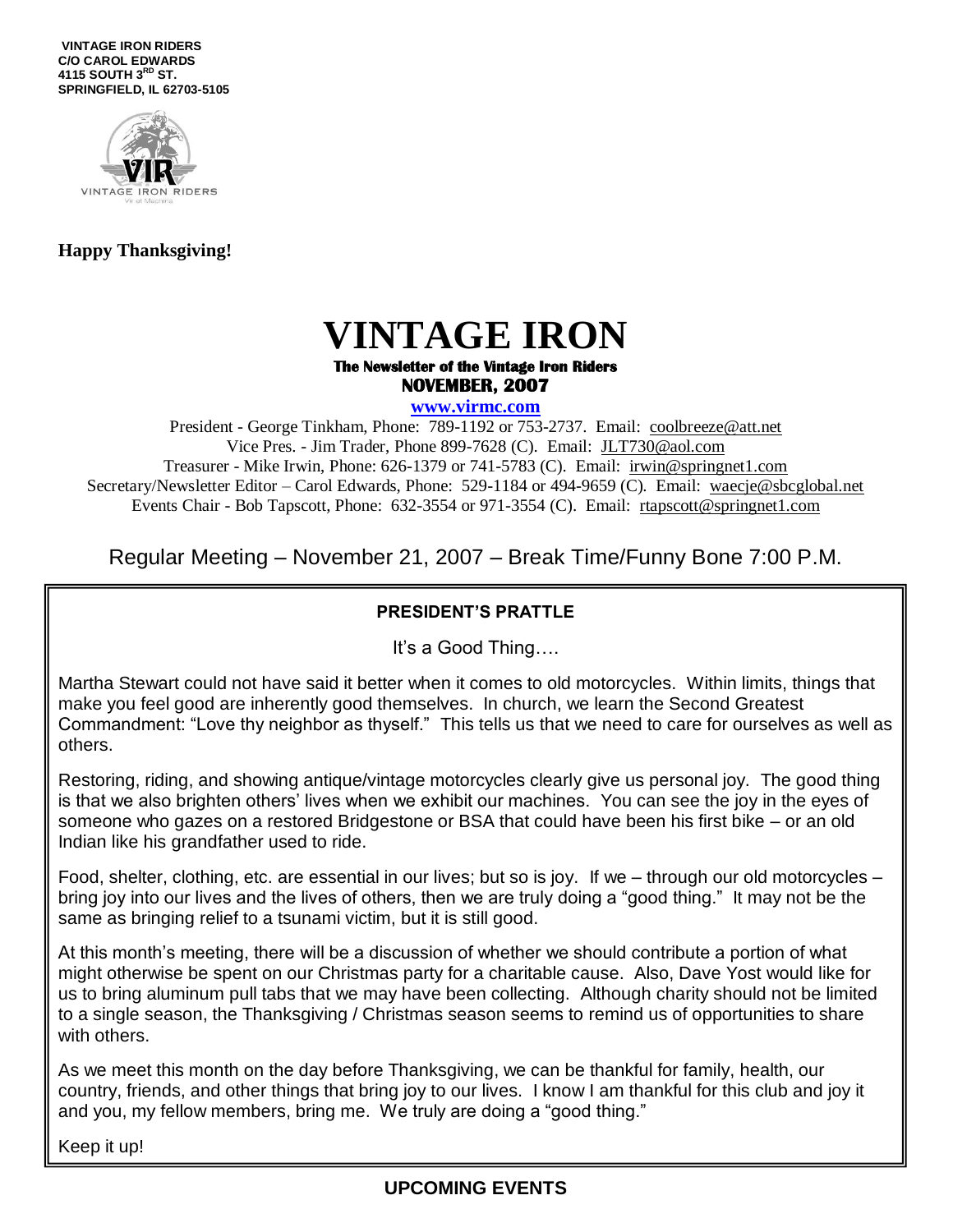**VINTAGE IRON RIDERS C/O CAROL EDWARDS 4115 SOUTH 3RD ST. SPRINGFIELD, IL 62703-5105**



#### **Happy Thanksgiving!**

# **VINTAGE IRON**

#### **The Newsletter of the Vintage Iron Riders NOVEMBER, 2007**

**www.virmc.com** 

President - George Tinkham, Phone: 789-1192 or 753-2737. Email: [coolbreeze@att.net](mailto:coolbreeze@att.net) Vice Pres. - Jim Trader, Phone 899-7628 (C). Email: [JLT730@aol.com](mailto:JLT730@aol.com) Treasurer - Mike Irwin, Phone: 626-1379 or 741-5783 (C). Email: irwin@springnet1.com Secretary/Newsletter Editor – Carol Edwards, Phone: 529-1184 or 494-9659 (C). Email: waecje@sbcglobal.net Events Chair - Bob Tapscott, Phone: 632-3554 or 971-3554 (C). Email: [rtapscott@springnet1.com](mailto:rtapscott@springnet1.com)

Regular Meeting – November 21, 2007 – Break Time/Funny Bone 7:00 P.M.

#### **PRESIDENT'S PRATTLE**

It's a Good Thing….

Martha Stewart could not have said it better when it comes to old motorcycles. Within limits, things that make you feel good are inherently good themselves. In church, we learn the Second Greatest Commandment: "Love thy neighbor as thyself." This tells us that we need to care for ourselves as well as others.

Restoring, riding, and showing antique/vintage motorcycles clearly give us personal joy. The good thing is that we also brighten others' lives when we exhibit our machines. You can see the joy in the eyes of someone who gazes on a restored Bridgestone or BSA that could have been his first bike – or an old Indian like his grandfather used to ride.

Food, shelter, clothing, etc. are essential in our lives; but so is joy. If we – through our old motorcycles – bring joy into our lives and the lives of others, then we are truly doing a "good thing." It may not be the same as bringing relief to a tsunami victim, but it is still good.

At this month's meeting, there will be a discussion of whether we should contribute a portion of what might otherwise be spent on our Christmas party for a charitable cause. Also, Dave Yost would like for us to bring aluminum pull tabs that we may have been collecting. Although charity should not be limited to a single season, the Thanksgiving / Christmas season seems to remind us of opportunities to share with others.

As we meet this month on the day before Thanksgiving, we can be thankful for family, health, our country, friends, and other things that bring joy to our lives. I know I am thankful for this club and joy it and you, my fellow members, bring me. We truly are doing a "good thing."

Keep it up!

### **UPCOMING EVENTS**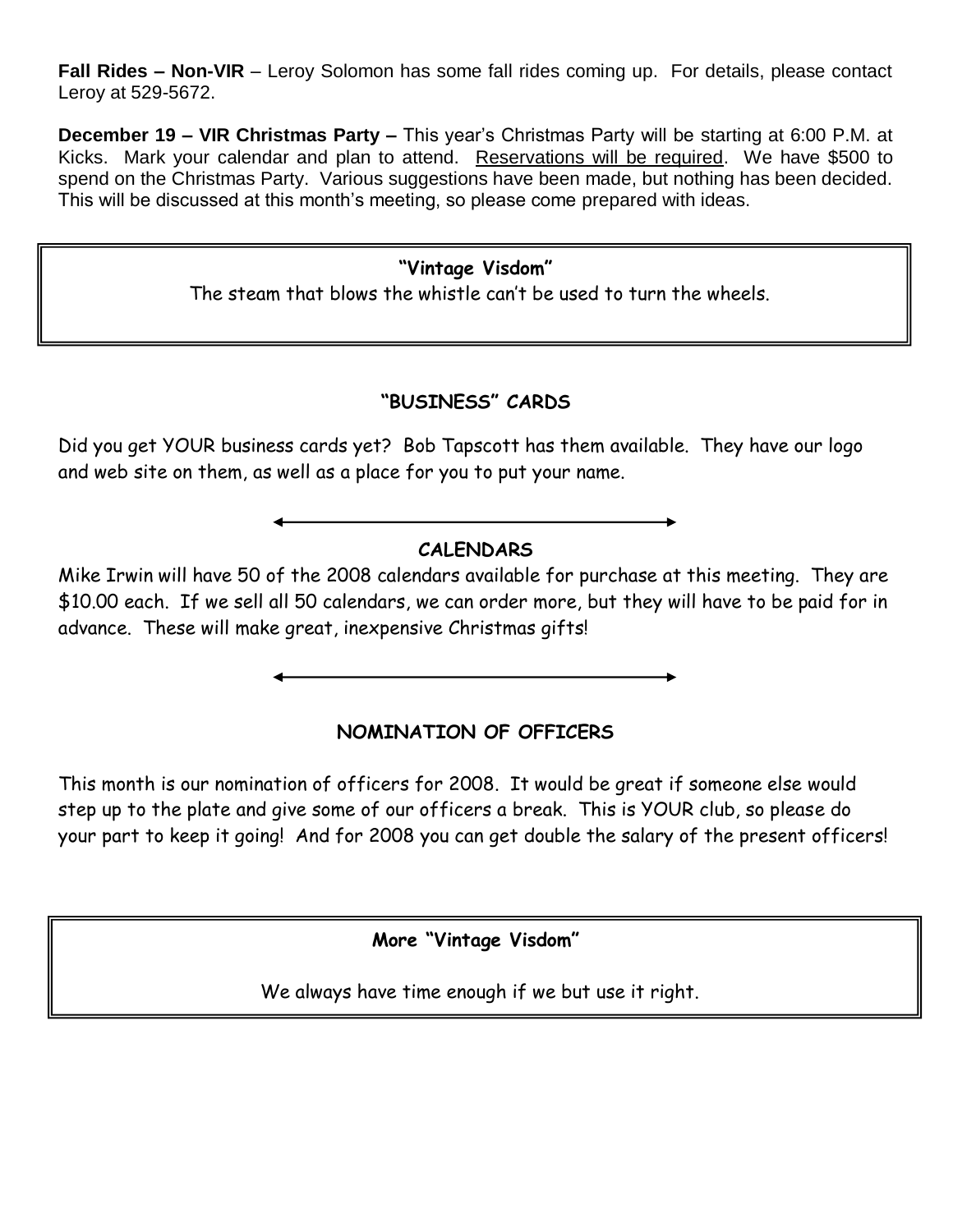**Fall Rides – Non-VIR** – Leroy Solomon has some fall rides coming up. For details, please contact Leroy at 529-5672.

**December 19 – VIR Christmas Party –** This year's Christmas Party will be starting at 6:00 P.M. at Kicks. Mark your calendar and plan to attend. Reservations will be required. We have \$500 to spend on the Christmas Party. Various suggestions have been made, but nothing has been decided. This will be discussed at this month's meeting, so please come prepared with ideas.

### **"Vintage Visdom"**

The steam that blows the whistle can't be used to turn the wheels.

### **"BUSINESS" CARDS**

Did you get YOUR business cards yet? Bob Tapscott has them available. They have our logo and web site on them, as well as a place for you to put your name.

## **CALENDARS**

Mike Irwin will have 50 of the 2008 calendars available for purchase at this meeting. They are \$10.00 each. If we sell all 50 calendars, we can order more, but they will have to be paid for in advance. These will make great, inexpensive Christmas gifts!

## **NOMINATION OF OFFICERS**

This month is our nomination of officers for 2008. It would be great if someone else would step up to the plate and give some of our officers a break. This is YOUR club, so please do your part to keep it going! And for 2008 you can get double the salary of the present officers!

**More "Vintage Visdom"**

We always have time enough if we but use it right.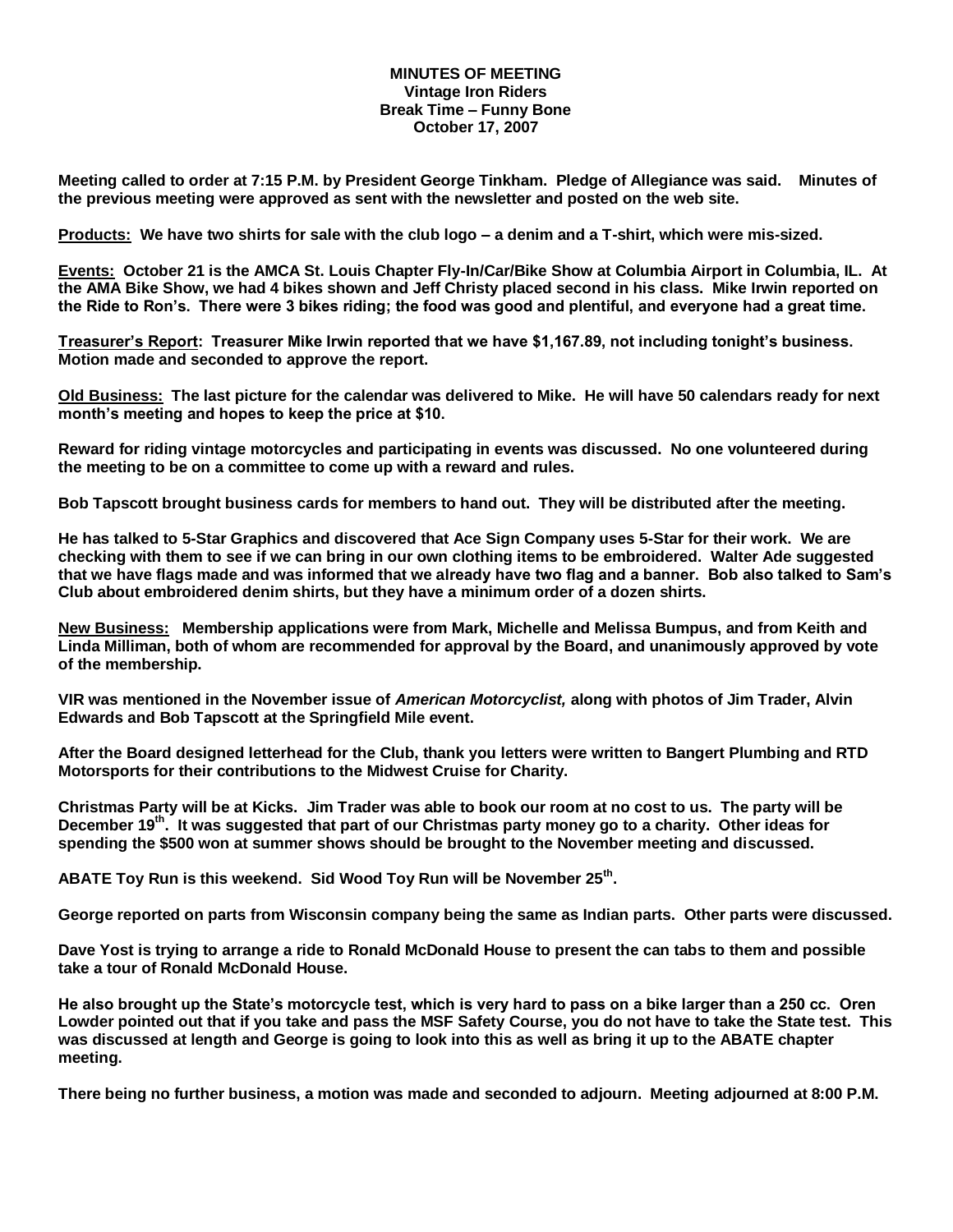#### **MINUTES OF MEETING Vintage Iron Riders Break Time – Funny Bone October 17, 2007**

**Meeting called to order at 7:15 P.M. by President George Tinkham. Pledge of Allegiance was said. Minutes of the previous meeting were approved as sent with the newsletter and posted on the web site.** 

**Products: We have two shirts for sale with the club logo – a denim and a T-shirt, which were mis-sized.**

**Events: October 21 is the AMCA St. Louis Chapter Fly-In/Car/Bike Show at Columbia Airport in Columbia, IL. At the AMA Bike Show, we had 4 bikes shown and Jeff Christy placed second in his class. Mike Irwin reported on the Ride to Ron's. There were 3 bikes riding; the food was good and plentiful, and everyone had a great time.**

**Treasurer's Report: Treasurer Mike Irwin reported that we have \$1,167.89, not including tonight's business. Motion made and seconded to approve the report.**

**Old Business: The last picture for the calendar was delivered to Mike. He will have 50 calendars ready for next month's meeting and hopes to keep the price at \$10.** 

**Reward for riding vintage motorcycles and participating in events was discussed. No one volunteered during the meeting to be on a committee to come up with a reward and rules.** 

**Bob Tapscott brought business cards for members to hand out. They will be distributed after the meeting.** 

**He has talked to 5-Star Graphics and discovered that Ace Sign Company uses 5-Star for their work. We are checking with them to see if we can bring in our own clothing items to be embroidered. Walter Ade suggested that we have flags made and was informed that we already have two flag and a banner. Bob also talked to Sam's Club about embroidered denim shirts, but they have a minimum order of a dozen shirts.**

**New Business: Membership applications were from Mark, Michelle and Melissa Bumpus, and from Keith and Linda Milliman, both of whom are recommended for approval by the Board, and unanimously approved by vote of the membership.** 

**VIR was mentioned in the November issue of** *American Motorcyclist,* **along with photos of Jim Trader, Alvin Edwards and Bob Tapscott at the Springfield Mile event.** 

**After the Board designed letterhead for the Club, thank you letters were written to Bangert Plumbing and RTD Motorsports for their contributions to the Midwest Cruise for Charity.**

**Christmas Party will be at Kicks. Jim Trader was able to book our room at no cost to us. The party will be December 19th. It was suggested that part of our Christmas party money go to a charity. Other ideas for spending the \$500 won at summer shows should be brought to the November meeting and discussed.**

**ABATE Toy Run is this weekend. Sid Wood Toy Run will be November 25th .**

**George reported on parts from Wisconsin company being the same as Indian parts. Other parts were discussed.**

**Dave Yost is trying to arrange a ride to Ronald McDonald House to present the can tabs to them and possible take a tour of Ronald McDonald House.**

**He also brought up the State's motorcycle test, which is very hard to pass on a bike larger than a 250 cc. Oren Lowder pointed out that if you take and pass the MSF Safety Course, you do not have to take the State test. This was discussed at length and George is going to look into this as well as bring it up to the ABATE chapter meeting.**

**There being no further business, a motion was made and seconded to adjourn. Meeting adjourned at 8:00 P.M.**